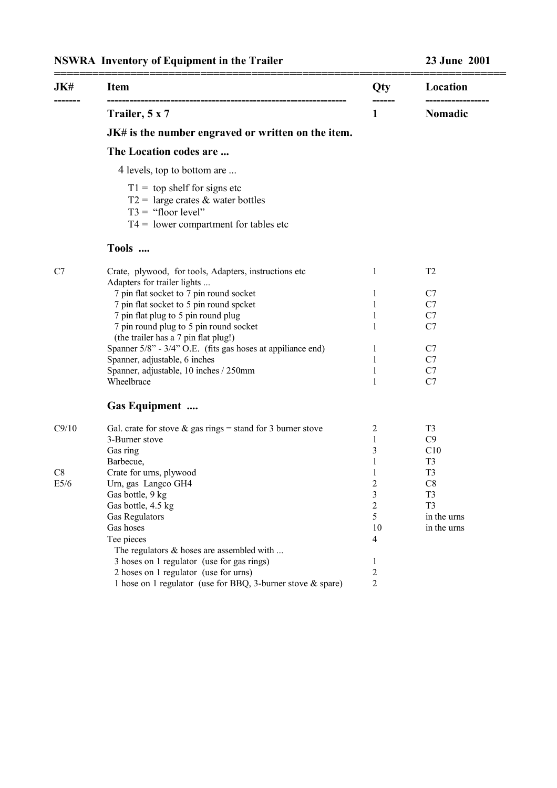## **NSWRA Inventory of Equipment in the Trailer 23 June 2001**

| JK#   | <b>Item</b>                                                                                                                                             | Qty            | Location       |
|-------|---------------------------------------------------------------------------------------------------------------------------------------------------------|----------------|----------------|
|       | Trailer, 5 x 7                                                                                                                                          | 1              | Nomadic        |
|       | JK# is the number engraved or written on the item.                                                                                                      |                |                |
|       | The Location codes are                                                                                                                                  |                |                |
|       | 4 levels, top to bottom are                                                                                                                             |                |                |
|       | $T1 =$ top shelf for signs etc<br>$T2 = \text{large crates} \& \text{water bottles}$<br>$T3 =$ "floor level"<br>$T4 =$ lower compartment for tables etc |                |                |
|       | Tools                                                                                                                                                   |                |                |
| C7    | Crate, plywood, for tools, Adapters, instructions etc<br>Adapters for trailer lights                                                                    | 1              | T <sub>2</sub> |
|       | 7 pin flat socket to 7 pin round socket                                                                                                                 | 1              | C7             |
|       | 7 pin flat socket to 5 pin round spcket                                                                                                                 | 1              | C7             |
|       | 7 pin flat plug to 5 pin round plug                                                                                                                     | 1              | C7             |
|       | 7 pin round plug to 5 pin round socket<br>(the trailer has a 7 pin flat plug!)                                                                          | 1              | C7             |
|       | Spanner 5/8" - 3/4" O.E. (fits gas hoses at appiliance end)                                                                                             | 1              | C7             |
|       | Spanner, adjustable, 6 inches                                                                                                                           | 1              | C7             |
|       | Spanner, adjustable, 10 inches / 250mm                                                                                                                  | 1              | C7             |
|       | Wheelbrace                                                                                                                                              | 1              | C7             |
|       | <b>Gas Equipment</b>                                                                                                                                    |                |                |
| C9/10 | Gal. crate for stove $\&$ gas rings = stand for 3 burner stove                                                                                          | 2              | T <sub>3</sub> |
|       | 3-Burner stove                                                                                                                                          | $\mathbf{1}$   | C9             |
|       | Gas ring                                                                                                                                                | 3              | C10            |
|       | Barbecue,                                                                                                                                               | 1              | T <sub>3</sub> |
| C8    | Crate for urns, plywood                                                                                                                                 | 1              | T <sub>3</sub> |
| E5/6  | Urn, gas Langco GH4                                                                                                                                     | $\overline{2}$ | C8             |
|       | Gas bottle, 9 kg                                                                                                                                        | 3              | T <sub>3</sub> |
|       | Gas bottle, 4.5 kg                                                                                                                                      | $\overline{c}$ | T <sub>3</sub> |
|       | Gas Regulators                                                                                                                                          | 5              | in the urns    |
|       | Gas hoses                                                                                                                                               | 10             | in the urns    |
|       | Tee pieces                                                                                                                                              | 4              |                |
|       | The regulators $\&$ hoses are assembled with                                                                                                            |                |                |
|       | 3 hoses on 1 regulator (use for gas rings)                                                                                                              | 1              |                |
|       | 2 hoses on 1 regulator (use for urns)                                                                                                                   | $\overline{c}$ |                |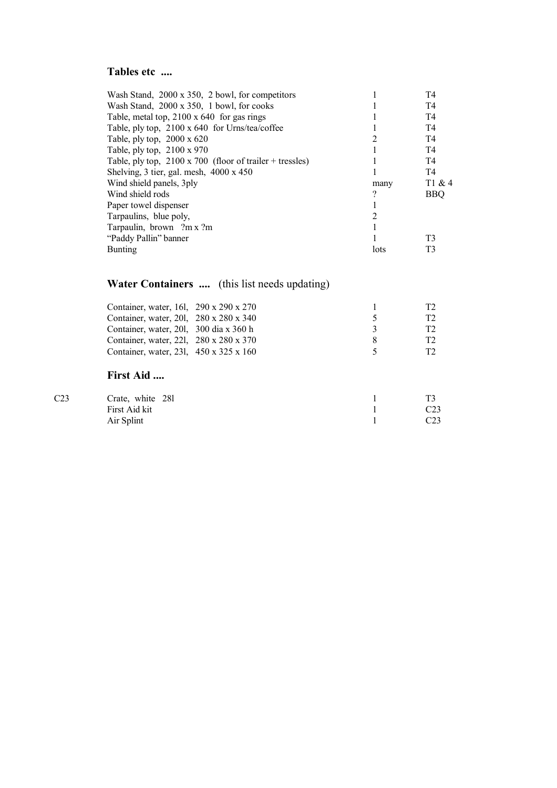### **Tables etc ....**

| Wash Stand, 2000 x 350, 2 bowl, for competitors                 |      | T4             |
|-----------------------------------------------------------------|------|----------------|
| Wash Stand, 2000 x 350, 1 bowl, for cooks                       |      | T <sub>4</sub> |
| Table, metal top, $2100 \times 640$ for gas rings               |      | T <sub>4</sub> |
| Table, ply top, 2100 x 640 for Urns/tea/coffee                  |      | T <sub>4</sub> |
| Table, ply top, $2000 \times 620$                               | 2    | T <sub>4</sub> |
| Table, ply top, 2100 x 970                                      |      | T <sub>4</sub> |
| Table, ply top, $2100 \times 700$ (floor of trailer + tressles) |      | T <sub>4</sub> |
| Shelving, $3$ tier, gal. mesh, $4000 \times 450$                |      | T <sub>4</sub> |
| Wind shield panels, 3ply                                        | many | T1 & 4         |
| Wind shield rods                                                | 2    | <b>BBQ</b>     |
| Paper towel dispenser                                           |      |                |
| Tarpaulins, blue poly,                                          |      |                |
| Tarpaulin, brown ?m x ?m                                        |      |                |
| "Paddy Pallin" banner                                           |      | T <sub>3</sub> |
| Bunting                                                         | lots | T <sub>3</sub> |
|                                                                 |      |                |

# **Water Containers ....** (this list needs updating)

| Container, water, 16l, 290 x 290 x 270             |                      | тэ |
|----------------------------------------------------|----------------------|----|
| Container, water, 201, 280 x 280 x 340             | $\ddot{\phantom{1}}$ | TЭ |
| Container, water, 201, 300 dia x 360 h             | $\mathcal{L}$        | т2 |
| Container, water, 221, 280 x 280 x 370             | x                    | TЭ |
| Container, water, 231, $450 \times 325 \times 160$ | $\sim$               | т2 |
|                                                    |                      |    |

#### **First Aid ....**

| C <sub>23</sub> | Crate, white 281 |                 |
|-----------------|------------------|-----------------|
|                 | First Aid kit    | C <sub>23</sub> |
|                 | Air Splint       | C <sub>23</sub> |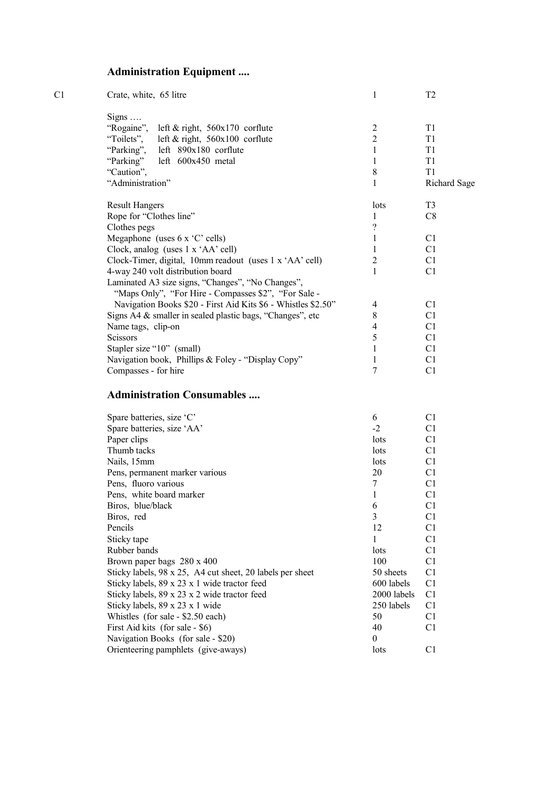## **Administration Equipment ....**

| Crate, white, 65 litre                                                                                    |                | T <sub>2</sub> |
|-----------------------------------------------------------------------------------------------------------|----------------|----------------|
|                                                                                                           |                |                |
| "Rogaine", left & right, 560x170 corflute                                                                 | $\overline{2}$ | T <sub>1</sub> |
| "Toilets", left & right, 560x100 corflute                                                                 | $\overline{2}$ | T1             |
| "Parking", left 890x180 corflute                                                                          |                | T1             |
| "Parking" left 600x450 metal                                                                              |                | T1             |
| "Caution",                                                                                                | 8              | T1             |
| "Administration"                                                                                          |                | Richard Sage   |
| <b>Result Hangers</b>                                                                                     | lots           | T <sub>3</sub> |
| Rope for "Clothes line"                                                                                   |                | C8             |
| Clothes pegs                                                                                              | ?              |                |
| Megaphone (uses $6 \times C$ cells)                                                                       |                | C <sub>1</sub> |
| Clock, analog (uses 1 x 'AA' cell)                                                                        |                | C <sub>1</sub> |
| Clock-Timer, digital, 10mm readout (uses 1 x 'AA' cell)                                                   | 2              | C1             |
| 4-way 240 volt distribution board                                                                         |                | C1             |
| Laminated A3 size signs, "Changes", "No Changes",<br>"Maps Only", "For Hire - Compasses \$2", "For Sale - |                |                |
| Navigation Books \$20 - First Aid Kits \$6 - Whistles \$2.50"                                             | 4              | C <sub>1</sub> |
| Signs A4 & smaller in sealed plastic bags, "Changes", etc                                                 | 8              | C1             |
| Name tags, clip-on                                                                                        | 4              | C <sub>1</sub> |
| <b>Scissors</b>                                                                                           | 5              | C1             |
| Stapler size "10" (small)                                                                                 |                | C1             |
| Navigation book, Phillips & Foley - "Display Copy"                                                        | 1              | C1             |
| Compasses - for hire                                                                                      | 7              | C1             |
|                                                                                                           | Signs $\ldots$ |                |

#### **Administration Consumables ....**

| Spare batteries, size 'C'                                 | 6           | C1             |
|-----------------------------------------------------------|-------------|----------------|
| Spare batteries, size 'AA'                                | $-2$        | C1             |
| Paper clips                                               | lots        | C1             |
| Thumb tacks                                               | lots        | C1             |
| Nails, 15mm                                               | lots        | C1             |
| Pens, permanent marker various                            | 20          | C <sub>1</sub> |
| Pens, fluoro various                                      | 7           | C <sub>1</sub> |
| Pens, white board marker                                  | 1           | C1             |
| Biros, blue/black                                         | 6           | C <sub>1</sub> |
| Biros, red                                                | 3           | C <sub>1</sub> |
| Pencils                                                   | 12          | C <sub>1</sub> |
| Sticky tape                                               | 1           | C1             |
| Rubber bands                                              | lots        | C <sub>1</sub> |
| Brown paper bags 280 x 400                                | 100         | C1             |
| Sticky labels, 98 x 25, A4 cut sheet, 20 labels per sheet | 50 sheets   | C1             |
| Sticky labels, $89 \times 23 \times 1$ wide tractor feed  | 600 labels  | C1             |
| Sticky labels, 89 x 23 x 2 wide tractor feed              | 2000 labels | C <sub>1</sub> |
| Sticky labels, 89 x 23 x 1 wide                           | 250 labels  | C <sub>1</sub> |
| Whistles (for sale - \$2.50 each)                         | 50          | C1             |
| First Aid kits (for sale - \$6)                           | 40          | C1             |
| Navigation Books (for sale - \$20)                        | 0           |                |
| Orienteering pamphlets (give-aways)                       | lots        | C1             |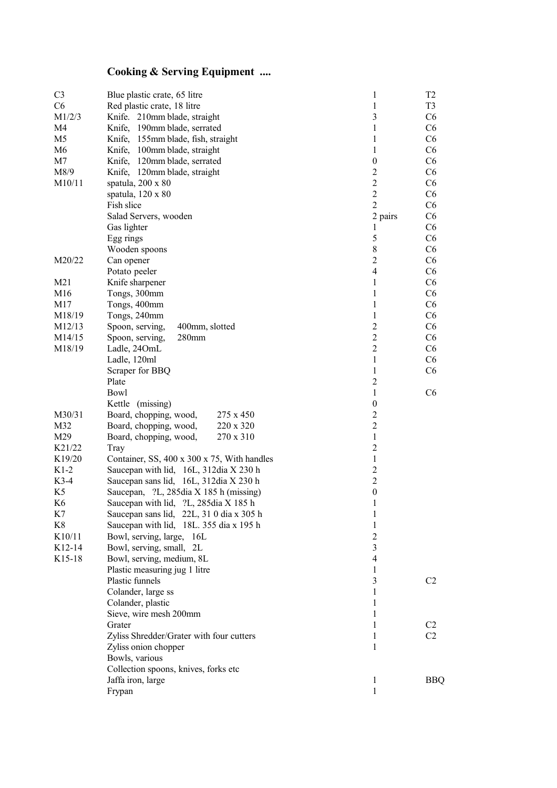## **Cooking & Serving Equipment ....**

| C <sub>3</sub><br>C6 | Blue plastic crate, 65 litre<br>Red plastic crate, 18 litre | 1<br>$\mathbf{1}$        | T <sub>2</sub><br>T <sub>3</sub> |
|----------------------|-------------------------------------------------------------|--------------------------|----------------------------------|
| M1/2/3               | Knife. 210mm blade, straight                                | 3                        | C <sub>6</sub>                   |
| M4                   | Knife, 190mm blade, serrated                                | 1                        | C <sub>6</sub>                   |
| M <sub>5</sub>       | Knife,<br>155mm blade, fish, straight                       | 1                        | C <sub>6</sub>                   |
| M <sub>6</sub>       | Knife,<br>100mm blade, straight                             | 1                        | C <sub>6</sub>                   |
| M7                   | 120mm blade, serrated<br>Knife,                             | $\boldsymbol{0}$         | C <sub>6</sub>                   |
| M8/9                 | Knife, 120mm blade, straight                                | $\overline{c}$           | C <sub>6</sub>                   |
| M10/11               | spatula, 200 x 80                                           | $\overline{2}$           | C <sub>6</sub>                   |
|                      | spatula, 120 x 80                                           | $\overline{2}$           | C <sub>6</sub>                   |
|                      | Fish slice                                                  | $\overline{2}$           | C <sub>6</sub>                   |
|                      | Salad Servers, wooden                                       | 2 pairs                  | C <sub>6</sub>                   |
|                      | Gas lighter                                                 | 1                        | C <sub>6</sub>                   |
|                      | Egg rings                                                   | 5                        | C <sub>6</sub>                   |
|                      | Wooden spoons                                               | $\,8\,$                  | C <sub>6</sub>                   |
| M20/22               | Can opener                                                  | $\mathbf{2}$             | C <sub>6</sub>                   |
|                      | Potato peeler                                               | $\overline{4}$           | C <sub>6</sub>                   |
| M21                  | Knife sharpener                                             | $\mathbf{1}$             | C <sub>6</sub>                   |
| M16                  | Tongs, 300mm                                                | 1                        | C <sub>6</sub>                   |
| M17                  | Tongs, 400mm                                                | $\mathbf{1}$             | C <sub>6</sub>                   |
| M18/19               | Tongs, 240mm                                                | $\mathbf{1}$             | C <sub>6</sub>                   |
| M12/13               | Spoon, serving,<br>400mm, slotted                           | $\overline{2}$           | C <sub>6</sub>                   |
| M14/15               | Spoon, serving,<br>280mm                                    | $\overline{2}$           | C <sub>6</sub>                   |
| M18/19               | Ladle, 24OmL                                                | $\overline{2}$           | C <sub>6</sub>                   |
|                      | Ladle, 120ml                                                | $\mathbf{1}$             | C <sub>6</sub>                   |
|                      | Scraper for BBQ                                             | $\mathbf{1}$             | C <sub>6</sub>                   |
|                      | Plate                                                       | $\overline{c}$           |                                  |
|                      | Bowl                                                        | 1                        | C <sub>6</sub>                   |
|                      | Kettle (missing)                                            | $\boldsymbol{0}$         |                                  |
| M30/31               | Board, chopping, wood,<br>275 x 450                         | $\sqrt{2}$               |                                  |
| M32                  | Board, chopping, wood,<br>220 x 320                         | $\overline{c}$           |                                  |
| M29                  | Board, chopping, wood,<br>270 x 310                         | $\mathbf{1}$             |                                  |
| K21/22               | Tray                                                        | $\overline{c}$           |                                  |
| K19/20               | Container, SS, 400 x 300 x 75, With handles                 | $\mathbf{1}$             |                                  |
| $K1-2$               | Saucepan with lid, 16L, 312dia X 230 h                      | $\overline{c}$           |                                  |
| $K3-4$               | Saucepan sans lid, 16L, 312dia X 230 h                      | $\overline{2}$           |                                  |
| K5                   | Saucepan, ?L, 285dia X 185 h (missing)                      | $\boldsymbol{0}$         |                                  |
| K6                   | Saucepan with lid, ?L, 285dia X 185 h                       | 1                        |                                  |
| K7                   | Saucepan sans lid, 22L, 31 0 dia x 305 h                    | 1                        |                                  |
| K8                   | Saucepan with lid, 18L. 355 dia x 195 h                     | 1                        |                                  |
| K10/11               | Bowl, serving, large, 16L                                   | $\overline{2}$           |                                  |
| K12-14               | Bowl, serving, small, 2L                                    | 3                        |                                  |
| K15-18               | Bowl, serving, medium, 8L                                   | $\overline{\mathcal{A}}$ |                                  |
|                      | Plastic measuring jug 1 litre                               | 1                        |                                  |
|                      | Plastic funnels                                             | 3                        | C <sub>2</sub>                   |
|                      | Colander, large ss                                          | 1                        |                                  |
|                      | Colander, plastic                                           | 1                        |                                  |
|                      | Sieve, wire mesh 200mm                                      | 1                        |                                  |
|                      | Grater                                                      | 1                        | C <sub>2</sub>                   |
|                      | Zyliss Shredder/Grater with four cutters                    | 1                        | C <sub>2</sub>                   |
|                      | Zyliss onion chopper                                        | 1                        |                                  |
|                      | Bowls, various                                              |                          |                                  |
|                      | Collection spoons, knives, forks etc                        |                          |                                  |
|                      | Jaffa iron, large                                           | 1                        | <b>BBQ</b>                       |
|                      | Frypan                                                      | $\mathbf{1}$             |                                  |